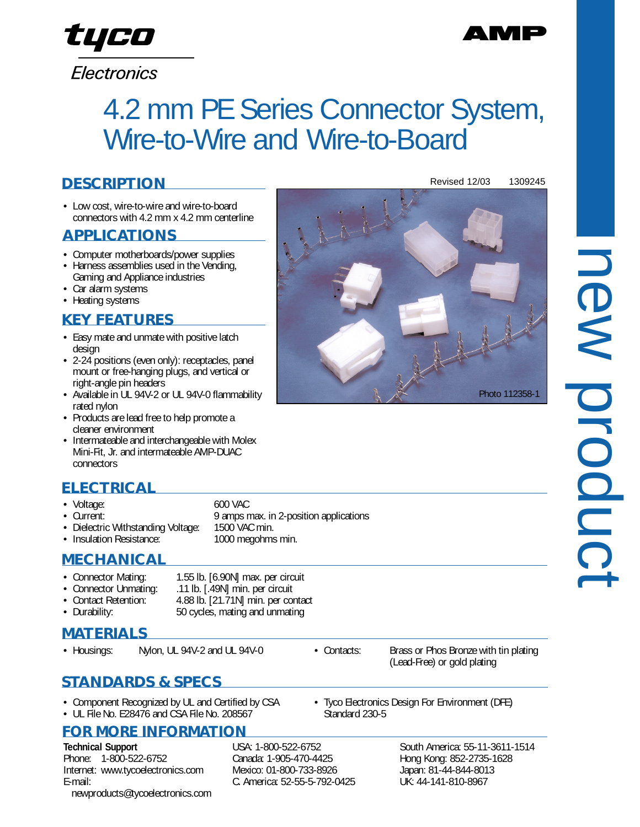## Electronics

# 4.2 mm PE Series Connector System, Wire-to-Wire and Wire-to-Board

### **DESCRIPTION**

• Low cost, wire-to-wire and wire-to-board connectors with 4.2 mm x 4.2 mm centerline

#### **APPLICATIONS**

- Computer motherboards/power supplies
- Harness assemblies used in the Vending,
- Gaming and Appliance industries
- Car alarm systems
- Heating systems

#### **KEY FEATURES**

- Easy mate and unmate with positive latch design
- 2-24 positions (even only): receptacles, panel mount or free-hanging plugs, and vertical or right-angle pin headers
- Available in UL 94V-2 or UL 94V-0 flammability rated nylon
- Products are lead free to help promote a cleaner environment
- Intermateable and interchangeable with Molex Mini-Fit, Jr. and intermateable AMP-DUAC connectors

### **ELECTRICAL**

- Voltage: 600 VAC
- 
- 
- Current: 9 amps max. in 2-position applications<br>• Dielectric Withstanding Voltage: 1500 VAC min. • Dielectric Withstanding Voltage: 1500 VAC min.<br>• Insulation Resistance: 1000 megohms min.

#### • Insulation Resistance: **MECHANICAL**

| • Connector Mating:   | 1.55 lb. [6.90N] max. per circuit  |
|-----------------------|------------------------------------|
| • Connector Unmating: | .11 lb. [.49N] min. per circuit    |
| • Contact Retention:  | 4.88 lb. [21.71N] min. per contact |
| • Durability:         | 50 cycles, mating and unmating     |

#### **MATERIALS**

#### **STANDARDS & SPECS**

- Component Recognized by UL and Certified by CSA
- UL File No. E28476 and CSA File No. 208567

#### **FOR MORE INFORMATION**

**Technical Support** Phone: 1-800-522-6752 Internet: www.tycoelectronics.com E-mail: newproducts@tycoelectronics.com USA: 1-800-522-6752 Canada: 1-905-470-4425 Mexico: 01-800-733-8926 C. America: 52-55-5-792-0425 South America: 55-11-3611-1514 Hong Kong: 852-2735-1628 Japan: 81-44-844-8013 UK: 44-141-810-8967



Photo 112358-1



Standard 230-5

• Housings: Nylon, UL 94V-2 and UL 94V-0 • Contacts: Brass or Phos Bronze with tin plating (Lead-Free) or gold plating

• Tyco Electronics Design For Environment (DFE)

- 
- 
- 



# tyco

Revised 12/03 1309245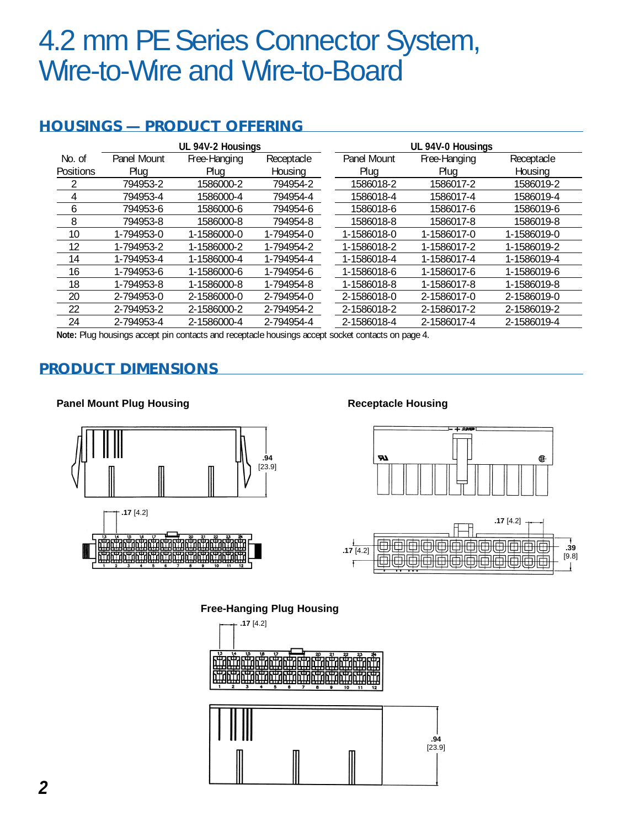## 4.2 mm PE Series Connector System, Wire-to-Wire and Wire-to-Board

#### **HOUSINGS — PRODUCT OFFERING**

|           | UL 94V-2 Housings |              |            |  | UL 94V-0 Housings |              |             |
|-----------|-------------------|--------------|------------|--|-------------------|--------------|-------------|
| No. of    | Panel Mount       | Free-Hanging | Receptacle |  | Panel Mount       | Free-Hanging | Receptacle  |
| Positions | Plua              | Plua         | Housing    |  | Plua              | Plua         | Housing     |
|           | 794953-2          | 1586000-2    | 794954-2   |  | 1586018-2         | 1586017-2    | 1586019-2   |
| 4         | 794953-4          | 1586000-4    | 794954-4   |  | 1586018-4         | 1586017-4    | 1586019-4   |
| 6         | 794953-6          | 1586000-6    | 794954-6   |  | 1586018-6         | 1586017-6    | 1586019-6   |
| 8         | 794953-8          | 1586000-8    | 794954-8   |  | 1586018-8         | 1586017-8    | 1586019-8   |
| 10        | 1-794953-0        | 1-1586000-0  | 1-794954-0 |  | 1-1586018-0       | 1-1586017-0  | 1-1586019-0 |
| 12        | 1-794953-2        | 1-1586000-2  | 1-794954-2 |  | 1-1586018-2       | 1-1586017-2  | 1-1586019-2 |
| 14        | 1-794953-4        | 1-1586000-4  | 1-794954-4 |  | 1-1586018-4       | 1-1586017-4  | 1-1586019-4 |
| 16        | 1-794953-6        | 1-1586000-6  | 1-794954-6 |  | 1-1586018-6       | 1-1586017-6  | 1-1586019-6 |
| 18        | 1-794953-8        | 1-1586000-8  | 1-794954-8 |  | 1-1586018-8       | 1-1586017-8  | 1-1586019-8 |
| 20        | 2-794953-0        | 2-1586000-0  | 2-794954-0 |  | 2-1586018-0       | 2-1586017-0  | 2-1586019-0 |
| 22        | 2-794953-2        | 2-1586000-2  | 2-794954-2 |  | 2-1586018-2       | 2-1586017-2  | 2-1586019-2 |
| 24        | 2-794953-4        | 2-1586000-4  | 2-794954-4 |  | 2-1586018-4       | 2-1586017-4  | 2-1586019-4 |

**Note:** Plug housings accept pin contacts and receptacle housings accept socket contacts on page 4.

#### **PRODUCT DIMENSIONS**

#### **Panel Mount Plug Housing Receptacle Housing**









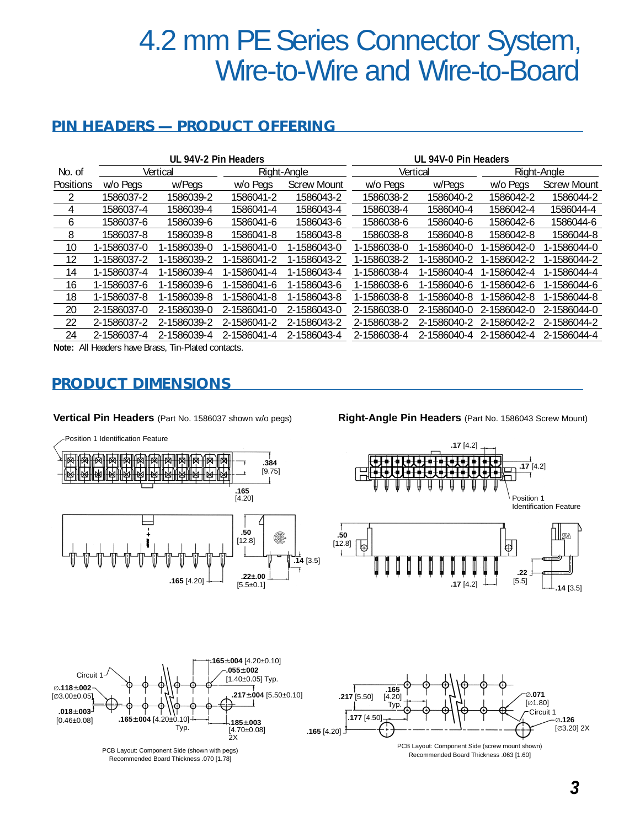## 4.2 mm PE Series Connector System, Wire-to-Wire and Wire-to-Board

#### **PIN HEADERS — PRODUCT OFFERING**

|                  | UL 94V-2 Pin Headers |             |             |                    |             | UL 94V-0 Pin Headers |             |                    |  |
|------------------|----------------------|-------------|-------------|--------------------|-------------|----------------------|-------------|--------------------|--|
| No. of           |                      | Vertical    |             | Right-Angle        |             | Vertical             |             | Right-Angle        |  |
| <b>Positions</b> | w/o Peas             | w/Pegs      | w/o Pegs    | <b>Screw Mount</b> | w/o Pegs    | w/Pegs               | w/o Pegs    | <b>Screw Mount</b> |  |
|                  | 1586037-2            | 1586039-2   | 1586041-2   | 1586043-2          | 1586038-2   | 1586040-2            | 1586042-2   | 1586044-2          |  |
| 4                | 1586037-4            | 1586039-4   | 1586041-4   | 1586043-4          | 1586038-4   | 1586040-4            | 1586042-4   | 1586044-4          |  |
| 6                | 1586037-6            | 1586039-6   | 1586041-6   | 1586043-6          | 1586038-6   | 1586040-6            | 1586042-6   | 1586044-6          |  |
| 8                | 1586037-8            | 1586039-8   | 1586041-8   | 1586043-8          | 1586038-8   | 1586040-8            | 1586042-8   | 1586044-8          |  |
| 10               | 1-1586037-0          | 1-1586039-0 | 1-1586041-0 | 1-1586043-0        | 1-1586038-0 | 1-1586040-0          | 1-1586042-0 | 1-1586044-0        |  |
| 12               | 1-1586037-2          | 1-1586039-2 | 1-1586041-2 | 1-1586043-2        | 1-1586038-2 | 1-1586040-2          | 1-1586042-2 | 1-1586044-2        |  |
| 14               | 1-1586037-4          | 1-1586039-4 | 1-1586041-4 | 1-1586043-4        | 1-1586038-4 | 1-1586040-4          | 1-1586042-4 | 1-1586044-4        |  |
| 16               | 1-1586037-6          | 1-1586039-6 | 1-1586041-6 | 1-1586043-6        | 1-1586038-6 | 1-1586040-6          | 1-1586042-6 | 1-1586044-6        |  |
| 18               | 1-1586037-8          | 1-1586039-8 | 1-1586041-8 | 1-1586043-8        | 1-1586038-8 | 1-1586040-8          | 1-1586042-8 | 1-1586044-8        |  |
| 20               | 2-1586037-0          | 2-1586039-0 | 2-1586041-0 | 2-1586043-0        | 2-1586038-0 | 2-1586040-0          | 2-1586042-0 | 2-1586044-0        |  |
| 22               | 2-1586037-2          | 2-1586039-2 | 2-1586041-2 | 2-1586043-2        | 2-1586038-2 | 2-1586040-2          | 2-1586042-2 | 2-1586044-2        |  |
| 24               | 2-1586037-4          | 2-1586039-4 | 2-1586041-4 | 2-1586043-4        | 2-1586038-4 | 2-1586040-4          | 2-1586042-4 | 2-1586044-4        |  |

**Note:** All Headers have Brass, Tin-Plated contacts.

#### **PRODUCT DIMENSIONS**

**Vertical Pin Headers** (Part No. 1586037 shown w/o pegs)

**Right-Angle Pin Headers** (Part No. 1586043 Screw Mount)



*3*